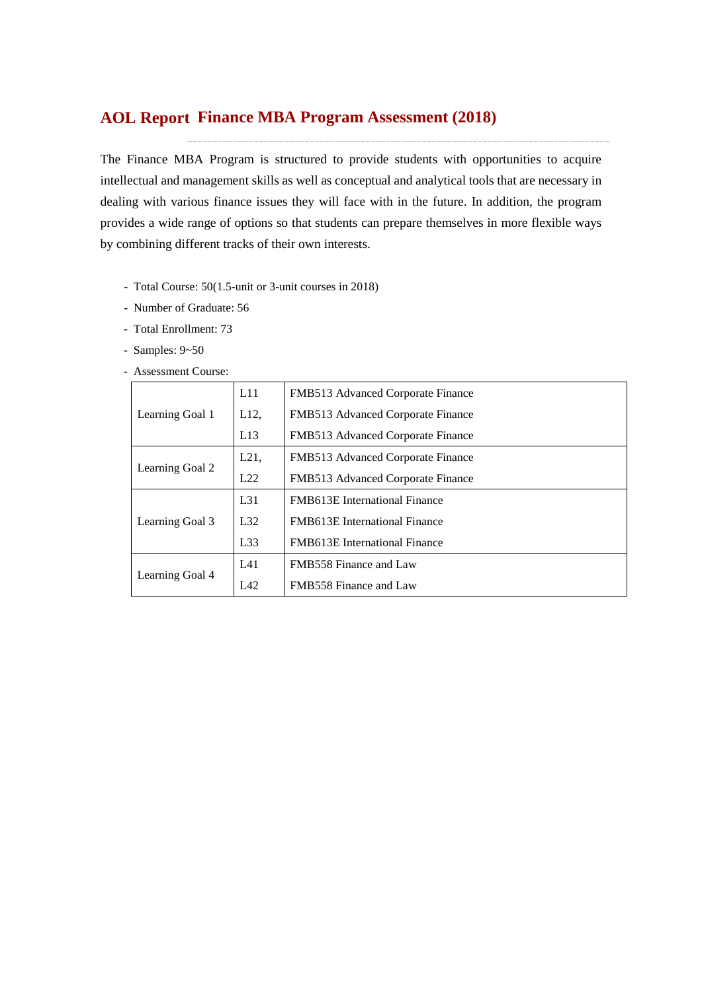## **Finance MBA Program Assessment (2018) AOL Report**

The Finance MBA Program is structured to provide students with opportunities to acquire intellectual and management skills as well as conceptual and analytical tools that are necessary in dealing with various finance issues they will face with in the future. In addition, the program provides a wide range of options so that students can prepare themselves in more flexible ways by combining different tracks of their own interests.

- Total Course: 50(1.5-unit or 3-unit courses in 2018)
- Number of Graduate: 56
- Total Enrollment: 73
- Samples: 9~50
- Assessment Course:

|                 | L11      | FMB513 Advanced Corporate Finance    |  |  |  |  |
|-----------------|----------|--------------------------------------|--|--|--|--|
| Learning Goal 1 | L12,     | FMB513 Advanced Corporate Finance    |  |  |  |  |
|                 | L13      | FMB513 Advanced Corporate Finance    |  |  |  |  |
|                 | L21,     | FMB513 Advanced Corporate Finance    |  |  |  |  |
| Learning Goal 2 | L22      | FMB513 Advanced Corporate Finance    |  |  |  |  |
|                 | $L_{31}$ | FMB613E International Finance        |  |  |  |  |
| Learning Goal 3 | L32      | <b>FMB613E</b> International Finance |  |  |  |  |
|                 | L33      | FMB613E International Finance        |  |  |  |  |
|                 | LA1      | FMB558 Finance and Law               |  |  |  |  |
| Learning Goal 4 | IA2      | FMB558 Finance and Law               |  |  |  |  |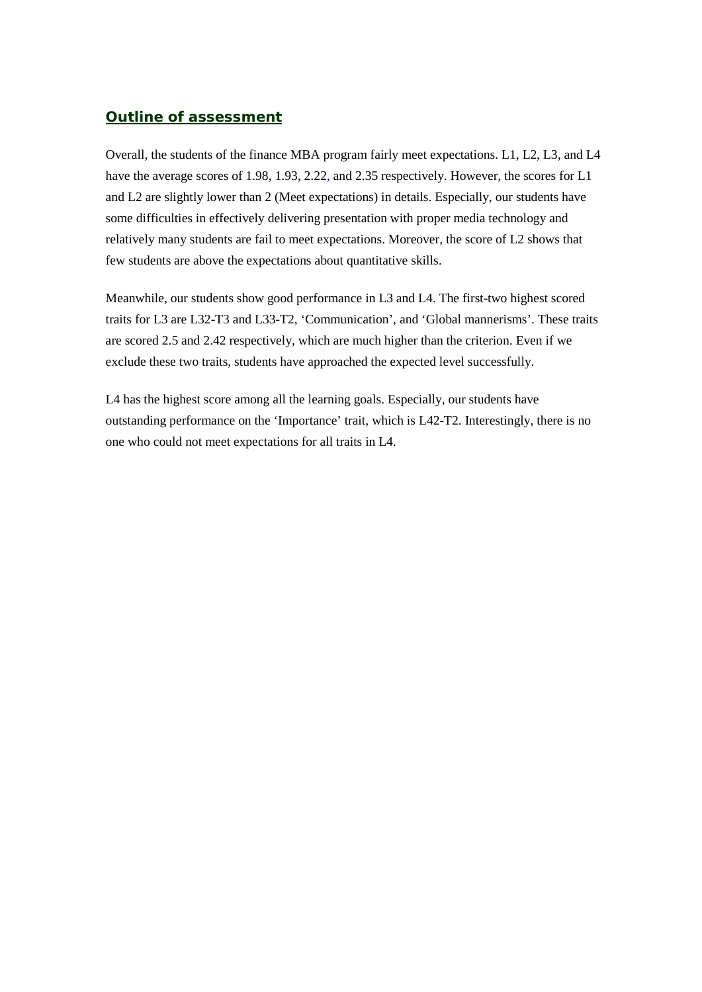### *Outline of assessment*

Overall, the students of the finance MBA program fairly meet expectations. L1, L2, L3, and L4 have the average scores of 1.98, 1.93, 2.22, and 2.35 respectively. However, the scores for L1 and L2 are slightly lower than 2 (Meet expectations) in details. Especially, our students have some difficulties in effectively delivering presentation with proper media technology and relatively many students are fail to meet expectations. Moreover, the score of L2 shows that few students are above the expectations about quantitative skills.

Meanwhile, our students show good performance in L3 and L4. The first-two highest scored traits for L3 are L32-T3 and L33-T2, 'Communication', and 'Global mannerisms'. These traits are scored 2.5 and 2.42 respectively, which are much higher than the criterion. Even if we exclude these two traits, students have approached the expected level successfully.

L4 has the highest score among all the learning goals. Especially, our students have outstanding performance on the 'Importance' trait, which is L42-T2. Interestingly, there is no one who could not meet expectations for all traits in L4.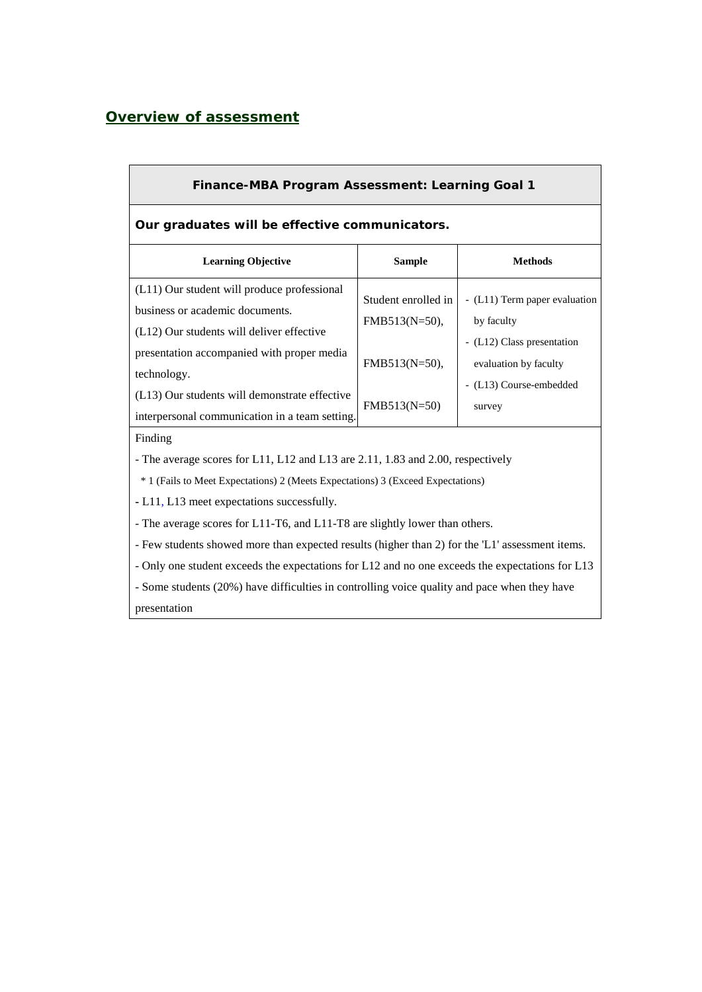### *Overview of assessment*

| Finance-MBA Program Assessment: Learning Goal 1                                                                                                                                                                                                                                                                                                                                   |                                                       |                                                                                                    |  |  |  |  |  |  |  |
|-----------------------------------------------------------------------------------------------------------------------------------------------------------------------------------------------------------------------------------------------------------------------------------------------------------------------------------------------------------------------------------|-------------------------------------------------------|----------------------------------------------------------------------------------------------------|--|--|--|--|--|--|--|
| Our graduates will be effective communicators.                                                                                                                                                                                                                                                                                                                                    |                                                       |                                                                                                    |  |  |  |  |  |  |  |
| <b>Learning Objective</b>                                                                                                                                                                                                                                                                                                                                                         | <b>Sample</b>                                         | <b>Methods</b>                                                                                     |  |  |  |  |  |  |  |
| (L11) Our student will produce professional<br>business or academic documents.<br>(L12) Our students will deliver effective<br>presentation accompanied with proper media                                                                                                                                                                                                         | Student enrolled in<br>FMB513(N=50),<br>FMB513(N=50), | - (L11) Term paper evaluation<br>by faculty<br>- (L12) Class presentation<br>evaluation by faculty |  |  |  |  |  |  |  |
| technology.<br>(L13) Our students will demonstrate effective<br>interpersonal communication in a team setting.                                                                                                                                                                                                                                                                    | FMB513(N=50)                                          | - (L13) Course-embedded<br>survey                                                                  |  |  |  |  |  |  |  |
| Finding<br>- The average scores for L11, L12 and L13 are 2.11, 1.83 and 2.00, respectively<br>* 1 (Fails to Meet Expectations) 2 (Meets Expectations) 3 (Exceed Expectations)<br>- L11, L13 meet expectations successfully.                                                                                                                                                       |                                                       |                                                                                                    |  |  |  |  |  |  |  |
| - The average scores for L11-T6, and L11-T8 are slightly lower than others.<br>- Few students showed more than expected results (higher than 2) for the 'L1' assessment items.<br>- Only one student exceeds the expectations for L12 and no one exceeds the expectations for L13<br>- Some students (20%) have difficulties in controlling voice quality and pace when they have |                                                       |                                                                                                    |  |  |  |  |  |  |  |
|                                                                                                                                                                                                                                                                                                                                                                                   |                                                       |                                                                                                    |  |  |  |  |  |  |  |

presentation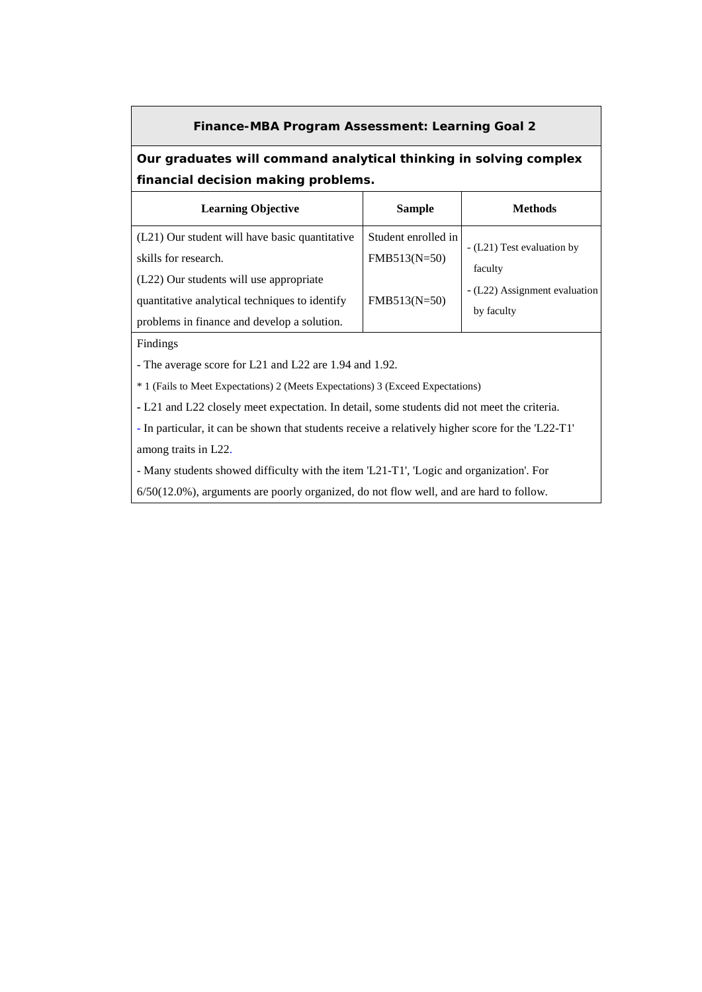#### **Finance-MBA Program Assessment: Learning Goal 2**

### **Our graduates will command analytical thinking in solving complex financial decision making problems.**

| <b>Learning Objective</b>                      | <b>Sample</b>       | <b>Methods</b>                        |
|------------------------------------------------|---------------------|---------------------------------------|
| (L21) Our student will have basic quantitative | Student enrolled in |                                       |
| skills for research.                           | FMB513(N=50)        | - (L21) Test evaluation by<br>faculty |
| (L22) Our students will use appropriate        |                     | - (L22) Assignment evaluation         |
| quantitative analytical techniques to identify | FMB513(N=50)        |                                       |
| problems in finance and develop a solution.    |                     | by faculty                            |

Findings

- The average score for L21 and L22 are 1.94 and 1.92.

\* 1 (Fails to Meet Expectations) 2 (Meets Expectations) 3 (Exceed Expectations)

**-** L21 and L22 closely meet expectation. In detail, some students did not meet the criteria.

- In particular, it can be shown that students receive a relatively higher score for the 'L22-T1' among traits in L22.

- Many students showed difficulty with the item 'L21-T1', 'Logic and organization'. For

6/50(12.0%), arguments are poorly organized, do not flow well, and are hard to follow.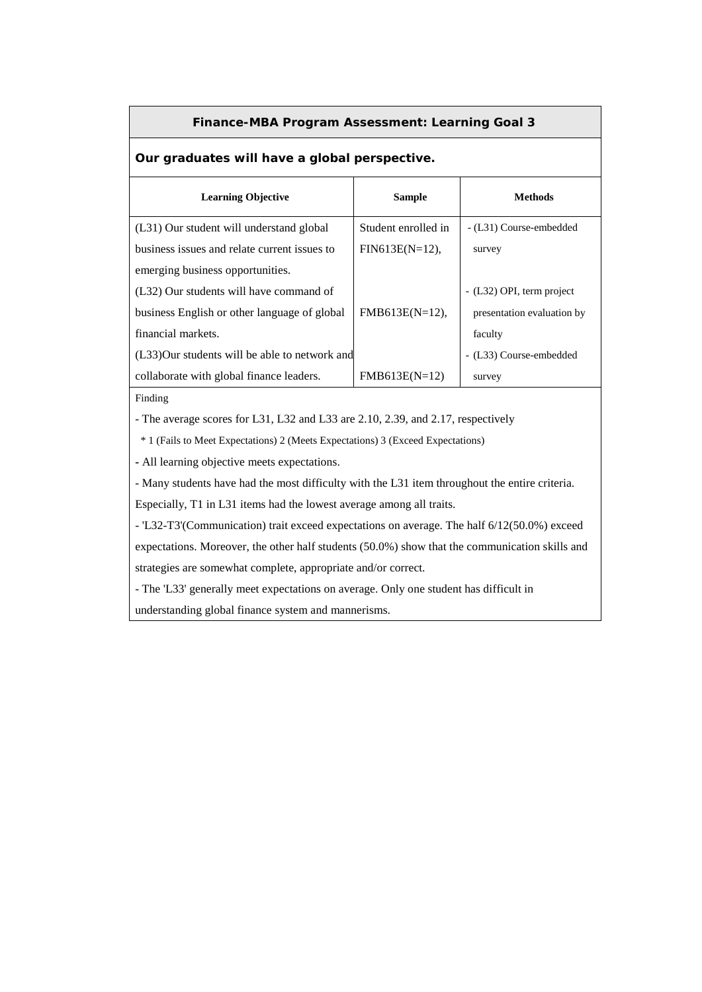#### **Finance-MBA Program Assessment: Learning Goal 3**

### **Our graduates will have a global perspective.**

| <b>Learning Objective</b>                      | <b>Sample</b>       | <b>Methods</b>             |
|------------------------------------------------|---------------------|----------------------------|
| (L31) Our student will understand global       | Student enrolled in | - (L31) Course-embedded    |
| business issues and relate current issues to   | $FIN613E(N=12)$ ,   | survey                     |
| emerging business opportunities.               |                     |                            |
| (L32) Our students will have command of        |                     | - (L32) OPI, term project  |
| business English or other language of global   | $FMB613E(N=12),$    | presentation evaluation by |
| financial markets.                             |                     | faculty                    |
| (L33) Our students will be able to network and |                     | - (L33) Course-embedded    |
| collaborate with global finance leaders.       | $FMB613E(N=12)$     | survey                     |

Finding

- The average scores for L31, L32 and L33 are 2.10, 2.39, and 2.17, respectively

\* 1 (Fails to Meet Expectations) 2 (Meets Expectations) 3 (Exceed Expectations)

**-** All learning objective meets expectations.

- Many students have had the most difficulty with the L31 item throughout the entire criteria. Especially, T1 in L31 items had the lowest average among all traits.

- 'L32-T3'(Communication) trait exceed expectations on average. The half 6/12(50.0%) exceed

expectations. Moreover, the other half students (50.0%) show that the communication skills and strategies are somewhat complete, appropriate and/or correct.

- The 'L33' generally meet expectations on average. Only one student has difficult in

understanding global finance system and mannerisms.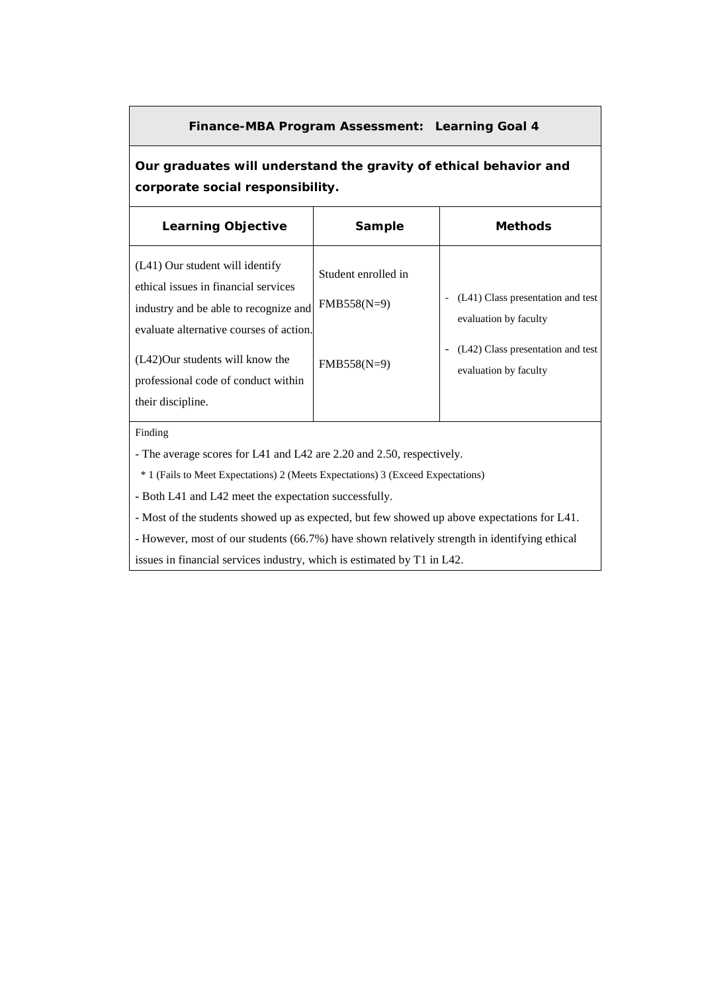#### **Finance-MBA Program Assessment: Learning Goal 4**

**Our graduates will understand the gravity of ethical behavior and corporate social responsibility.**

| <b>Learning Objective</b>                                                                                                                                                                                                                                     | Sample                                                | <b>Methods</b>                                                                                                           |
|---------------------------------------------------------------------------------------------------------------------------------------------------------------------------------------------------------------------------------------------------------------|-------------------------------------------------------|--------------------------------------------------------------------------------------------------------------------------|
| $(L41)$ Our student will identify<br>ethical issues in financial services<br>industry and be able to recognize and<br>evaluate alternative courses of action.<br>(L42) Our students will know the<br>professional code of conduct within<br>their discipline. | Student enrolled in<br>$FMB558(N=9)$<br>$FMB558(N=9)$ | (L41) Class presentation and test<br>evaluation by faculty<br>(L42) Class presentation and test<br>evaluation by faculty |

Finding

- The average scores for L41 and L42 are 2.20 and 2.50, respectively.

\* 1 (Fails to Meet Expectations) 2 (Meets Expectations) 3 (Exceed Expectations)

**-** Both L41 and L42 meet the expectation successfully.

- Most of the students showed up as expected, but few showed up above expectations for L41.

- However, most of our students (66.7%) have shown relatively strength in identifying ethical

issues in financial services industry, which is estimated by T1 in L42.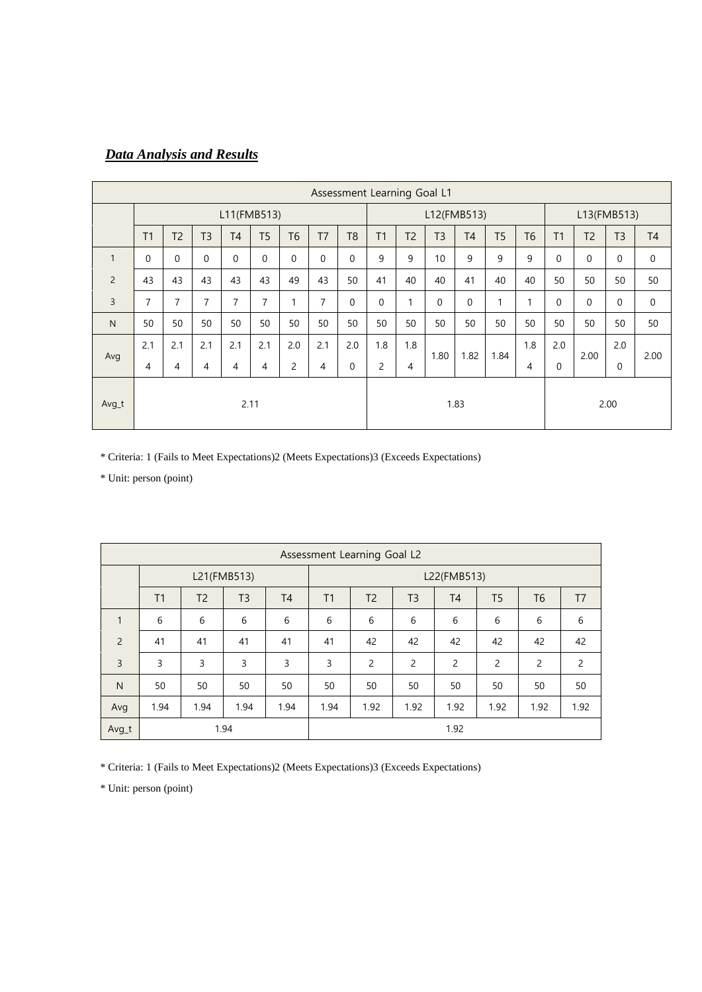# *Data Analysis and Results*

| Assessment Learning Goal L1 |                |                |                |                |                |                |                |                |          |                |                |                |                |                |              |                |                |             |
|-----------------------------|----------------|----------------|----------------|----------------|----------------|----------------|----------------|----------------|----------|----------------|----------------|----------------|----------------|----------------|--------------|----------------|----------------|-------------|
|                             | L11(FMB513)    |                |                |                |                |                |                | L12(FMB513)    |          |                |                |                | L13(FMB513)    |                |              |                |                |             |
|                             | T1             | T <sub>2</sub> | T <sub>3</sub> | T <sub>4</sub> | T <sub>5</sub> | T <sub>6</sub> | T <sub>7</sub> | T <sub>8</sub> | T1       | T <sub>2</sub> | T <sub>3</sub> | T <sub>4</sub> | T <sub>5</sub> | T <sub>6</sub> | T1           | T <sub>2</sub> | T <sub>3</sub> | T4          |
| $\mathbf{1}$                | $\mathbf 0$    | $\Omega$       | $\mathbf{0}$   | $\mathbf 0$    | $\mathbf 0$    | 0              | $\Omega$       | $\Omega$       | 9        | 9              | 10             | 9              | 9              | 9              | $\mathbf 0$  | $\mathbf{0}$   | $\mathbf{0}$   | $\mathbf 0$ |
| $\overline{2}$              | 43             | 43             | 43             | 43             | 43             | 49             | 43             | 50             | 41       | 40             | 40             | 41             | 40             | 40             | 50           | 50             | 50             | 50          |
| $\overline{3}$              | $\overline{7}$ | 7              | $\overline{7}$ | $\overline{7}$ | $\overline{7}$ | 1              | 7              | $\Omega$       | $\theta$ | 1              | $\Omega$       | $\Omega$       | $\mathbf{1}$   | 1              | $\mathbf 0$  | $\mathbf{0}$   | $\mathbf{0}$   | $\mathbf 0$ |
| N                           | 50             | 50             | 50             | 50             | 50             | 50             | 50             | 50             | 50       | 50             | 50             | 50             | 50             | 50             | 50           | 50             | 50             | 50          |
|                             | 2.1            | 2.1            | 2.1            | 2.1            | 2.1            | 2.0            | 2.1            | 2.0            | 1.8      | 1.8            |                |                | 1.84           | 1.8            | 2.0          |                | 2.0            |             |
| Avg                         | 4              | 4              | 4              | $\overline{4}$ | 4              | 2              | 4              | $\Omega$       | 2        | 4              |                | 1.82<br>1.80   |                | 4              | $\mathbf{0}$ | 2.00           | $\mathbf{0}$   | 2.00        |
|                             |                | 2.11           |                |                |                |                |                |                | 1.83     |                |                |                |                |                |              |                |                |             |
| Avg_t                       |                |                |                |                |                |                |                |                |          |                |                |                | 2.00           |                |              |                |                |             |

\* Criteria: 1 (Fails to Meet Expectations)2 (Meets Expectations)3 (Exceeds Expectations)

\* Unit: person (point)

|                | Assessment Learning Goal L2 |                |                |                |      |                |                |                |                |                |                |  |
|----------------|-----------------------------|----------------|----------------|----------------|------|----------------|----------------|----------------|----------------|----------------|----------------|--|
|                |                             |                | L21(FMB513)    |                |      | L22(FMB513)    |                |                |                |                |                |  |
|                | T1                          | T <sub>2</sub> | T <sub>3</sub> | T <sub>4</sub> | T1   | T <sub>2</sub> | T <sub>3</sub> | T <sub>4</sub> | T <sub>5</sub> | T <sub>6</sub> | T <sub>7</sub> |  |
| $\mathbf{1}$   | 6                           | 6              | 6              | 6              | 6    | 6              | 6              | 6              | 6              | 6              | 6              |  |
| $\overline{2}$ | 41                          | 41             | 41             | 41             | 41   | 42             | 42             | 42             | 42             | 42             | 42             |  |
| $\overline{3}$ | 3                           | 3              | 3              | 3              | 3    | $\overline{2}$ | 2              | $\overline{2}$ | $\overline{c}$ | 2              | 2              |  |
| N              | 50                          | 50             | 50             | 50             | 50   | 50             | 50             | 50             | 50             | 50             | 50             |  |
| Avg            | 1.94                        | 1.94           | 1.94           | 1.94           | 1.94 | 1.92           | 1.92           | 1.92           | 1.92           | 1.92           | 1.92           |  |
| Avg_t          | 1.94                        |                |                |                |      |                |                | 1.92           |                |                |                |  |

\* Criteria: 1 (Fails to Meet Expectations)2 (Meets Expectations)3 (Exceeds Expectations)

\* Unit: person (point)